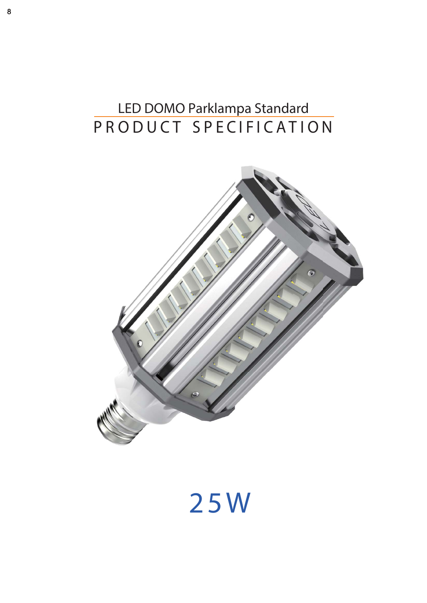## **PRODUCT SPECIFICATION LED DOMO Parklampa Standard**



# **2 5 W**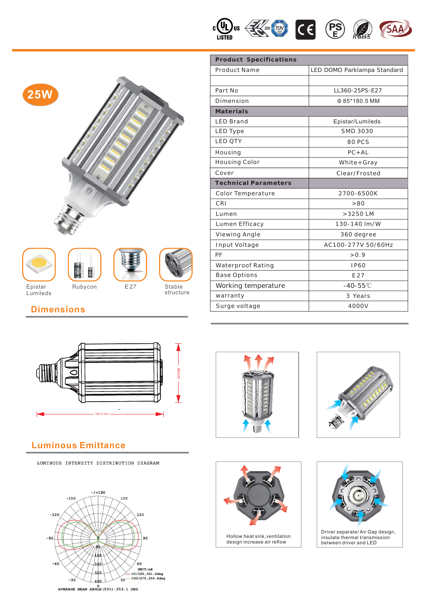





Lumileds





E 27 Stable structure

| <b>Product Specifications</b> |                             |  |  |  |
|-------------------------------|-----------------------------|--|--|--|
| <b>Product Name</b>           | LED DOMO Parklampa Standard |  |  |  |
|                               |                             |  |  |  |
| Part No                       | LL360-25PS-E27              |  |  |  |
| Dimension                     | Φ85*180.5 MM                |  |  |  |
| <b>Materials</b>              |                             |  |  |  |
| <b>LED Brand</b>              | Epistar/Lumileds            |  |  |  |
| <b>LED Type</b>               | SMD 3030                    |  |  |  |
| <b>LED OTY</b>                | 80 PCS                      |  |  |  |
| Housing                       | $PC + AL$                   |  |  |  |
| <b>Housing Color</b>          | $White+Gray$                |  |  |  |
| Cover                         | Clear/Frosted               |  |  |  |
| <b>Technical Parameters</b>   |                             |  |  |  |
| Color Temperature             | 2700-6500K                  |  |  |  |
| CRI                           | > 80                        |  |  |  |
| Lumen                         | $>3250$ LM                  |  |  |  |
| Lumen Efficacy                | 130-140 lm/W                |  |  |  |
| Viewing Angle                 | 360 degree                  |  |  |  |
| Input Voltage                 | AC100-277V 50/60Hz          |  |  |  |
| PF                            | > 0.9                       |  |  |  |
| Waterproof Rating             | <b>IP60</b>                 |  |  |  |
| <b>Base Options</b>           | E27                         |  |  |  |
| Working temperature           | $-40 - 55^{\circ}$ C        |  |  |  |
| warranty                      | 3 Years                     |  |  |  |
| Surge voltage                 | 4000V                       |  |  |  |

### **Dimensions**



#### **Luminous Emittance**

LUMINOUS INTENSITY DISTRIBUTION DIAGRAM









Hollow heat sink,ventilation design increase air reflow



Driver separate/ Air Gap design, insulate thermal transmission between driver and LED